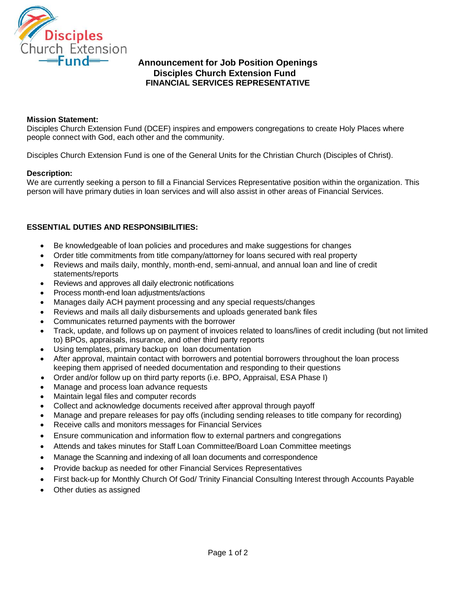

# **Announcement for Job Position Openings Disciples Church Extension Fund FINANCIAL SERVICES REPRESENTATIVE**

### **Mission Statement:**

Disciples Church Extension Fund (DCEF) inspires and empowers congregations to create Holy Places where people connect with God, each other and the community.

Disciples Church Extension Fund is one of the General Units for the Christian Church (Disciples of Christ).

### **Description:**

We are currently seeking a person to fill a Financial Services Representative position within the organization. This person will have primary duties in loan services and will also assist in other areas of Financial Services.

## **ESSENTIAL DUTIES AND RESPONSIBILITIES:**

- Be knowledgeable of loan policies and procedures and make suggestions for changes
- Order title commitments from title company/attorney for loans secured with real property
- Reviews and mails daily, monthly, month-end, semi-annual, and annual loan and line of credit statements/reports
- Reviews and approves all daily electronic notifications
- Process month-end loan adjustments/actions
- Manages daily ACH payment processing and any special requests/changes
- Reviews and mails all daily disbursements and uploads generated bank files
- Communicates returned payments with the borrower
- Track, update, and follows up on payment of invoices related to loans/lines of credit including (but not limited to) BPOs, appraisals, insurance, and other third party reports
- Using templates, primary backup on loan documentation
- After approval, maintain contact with borrowers and potential borrowers throughout the loan process keeping them apprised of needed documentation and responding to their questions
- Order and/or follow up on third party reports (i.e. BPO, Appraisal, ESA Phase I)
- Manage and process loan advance requests
- Maintain legal files and computer records
- Collect and acknowledge documents received after approval through payoff
- Manage and prepare releases for pay offs (including sending releases to title company for recording)
- Receive calls and monitors messages for Financial Services
- Ensure communication and information flow to external partners and congregations
- Attends and takes minutes for Staff Loan Committee/Board Loan Committee meetings
- Manage the Scanning and indexing of all loan documents and correspondence
- Provide backup as needed for other Financial Services Representatives
- First back-up for Monthly Church Of God/ Trinity Financial Consulting Interest through Accounts Payable
- Other duties as assigned